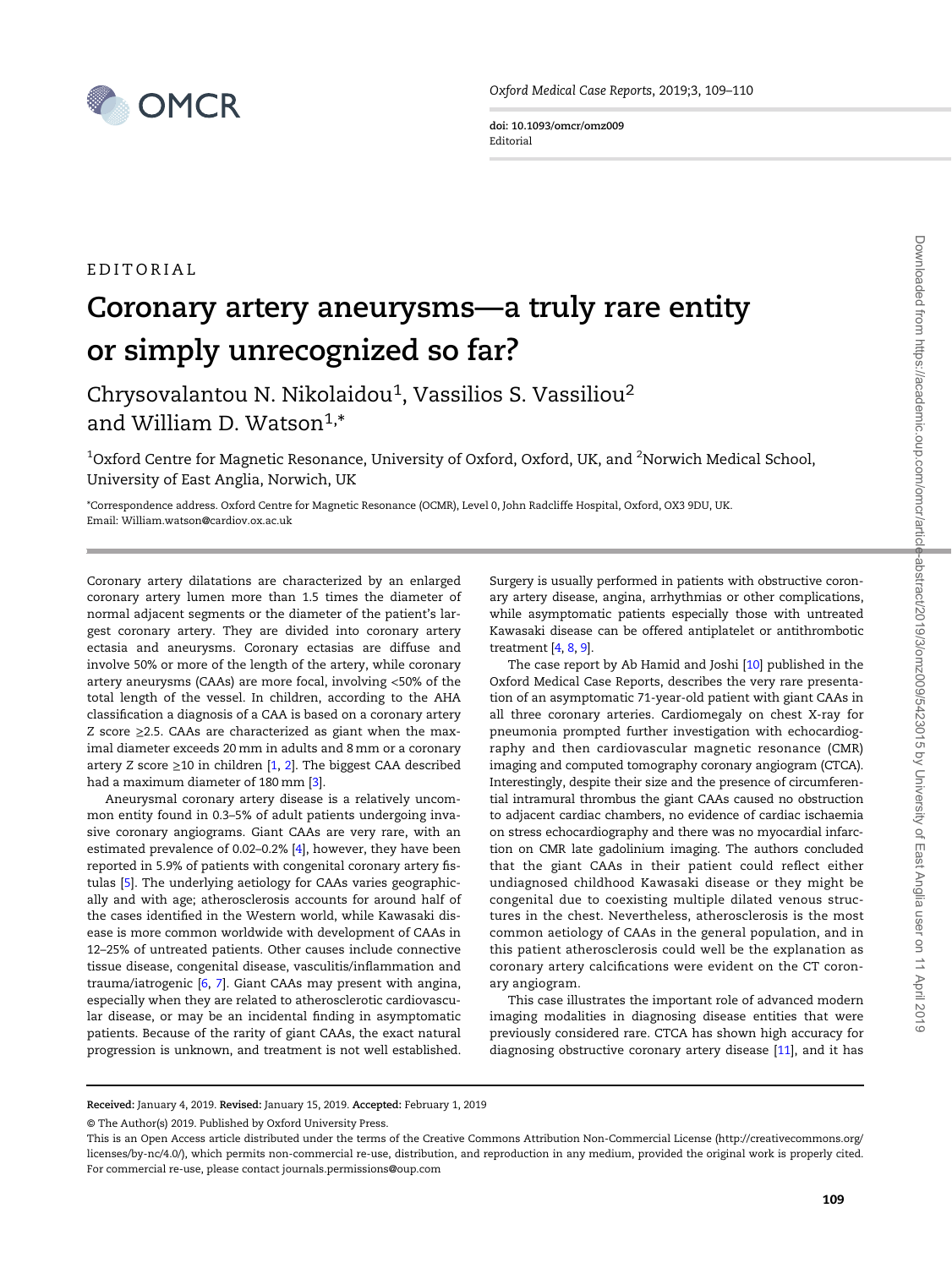

doi: 10.1093/omcr/omz009 Editorial

## EDITORIAL

## Coronary artery aneurysms—a truly rare entity or simply unrecognized so far?

Chrysovalantou N. Nikolaidou<sup>1</sup>, Vassilios S. Vassiliou<sup>2</sup> and William D. Watson $^{1,*}$ 

 $^{\rm 1}$ Oxford Centre for Magnetic Resonance, University of Oxford, Oxford, UK, and  $^{\rm 2}$ Norwich Medical School, University of East Anglia, Norwich, UK

\*Correspondence address. Oxford Centre for Magnetic Resonance (OCMR), Level 0, John Radcliffe Hospital, Oxford, OX3 9DU, UK. Email: William.watson@cardiov.ox.ac.uk

Coronary artery dilatations are characterized by an enlarged coronary artery lumen more than 1.5 times the diameter of normal adjacent segments or the diameter of the patient's largest coronary artery. They are divided into coronary artery ectasia and aneurysms. Coronary ectasias are diffuse and involve 50% or more of the length of the artery, while coronary artery aneurysms (CAAs) are more focal, involving <50% of the total length of the vessel. In children, according to the AHA classification a diagnosis of a CAA is based on a coronary artery Z score ≥2.5. CAAs are characterized as giant when the maximal diameter exceeds 20 mm in adults and 8 mm or a coronary artery Z score  $\geq$ 10 in children [\[1,](#page-1-0) [2](#page-1-0)]. The biggest CAA described had a maximum diameter of 180 mm [\[3\]](#page-1-0).

Aneurysmal coronary artery disease is a relatively uncommon entity found in 0.3–5% of adult patients undergoing invasive coronary angiograms. Giant CAAs are very rare, with an estimated prevalence of 0.02–0.2% [\[4](#page-1-0)], however, they have been reported in 5.9% of patients with congenital coronary artery fistulas [[5\]](#page-1-0). The underlying aetiology for CAAs varies geographically and with age; atherosclerosis accounts for around half of the cases identified in the Western world, while Kawasaki disease is more common worldwide with development of CAAs in 12–25% of untreated patients. Other causes include connective tissue disease, congenital disease, vasculitis/inflammation and trauma/iatrogenic [\[6](#page-1-0), [7](#page-1-0)]. Giant CAAs may present with angina, especially when they are related to atherosclerotic cardiovascular disease, or may be an incidental finding in asymptomatic patients. Because of the rarity of giant CAAs, the exact natural progression is unknown, and treatment is not well established.

Surgery is usually performed in patients with obstructive coronary artery disease, angina, arrhythmias or other complications, while asymptomatic patients especially those with untreated Kawasaki disease can be offered antiplatelet or antithrombotic treatment [\[4](#page-1-0), [8](#page-1-0), [9](#page-1-0)].

The case report by Ab Hamid and Joshi [\[10](#page-1-0)] published in the Oxford Medical Case Reports, describes the very rare presentation of an asymptomatic 71-year-old patient with giant CAAs in all three coronary arteries. Cardiomegaly on chest X-ray for pneumonia prompted further investigation with echocardiography and then cardiovascular magnetic resonance (CMR) imaging and computed tomography coronary angiogram (CTCA). Interestingly, despite their size and the presence of circumferential intramural thrombus the giant CAAs caused no obstruction to adjacent cardiac chambers, no evidence of cardiac ischaemia on stress echocardiography and there was no myocardial infarction on CMR late gadolinium imaging. The authors concluded that the giant CAAs in their patient could reflect either undiagnosed childhood Kawasaki disease or they might be congenital due to coexisting multiple dilated venous structures in the chest. Nevertheless, atherosclerosis is the most common aetiology of CAAs in the general population, and in this patient atherosclerosis could well be the explanation as coronary artery calcifications were evident on the CT coronary angiogram.

This case illustrates the important role of advanced modern imaging modalities in diagnosing disease entities that were previously considered rare. CTCA has shown high accuracy for diagnosing obstructive coronary artery disease [[11\]](#page-1-0), and it has

Received: January 4, 2019. Revised: January 15, 2019. Accepted: February 1, 2019

<sup>©</sup> The Author(s) 2019. Published by Oxford University Press.

This is an Open Access article distributed under the terms of the Creative Commons Attribution Non-Commercial License ([http://creativecommons.org/](http://creativecommons.org/licenses/by-nc/4.0/) [licenses/by-nc/4.0/\)](http://creativecommons.org/licenses/by-nc/4.0/), which permits non-commercial re-use, distribution, and reproduction in any medium, provided the original work is properly cited. For commercial re-use, please contact journals.permissions@oup.com